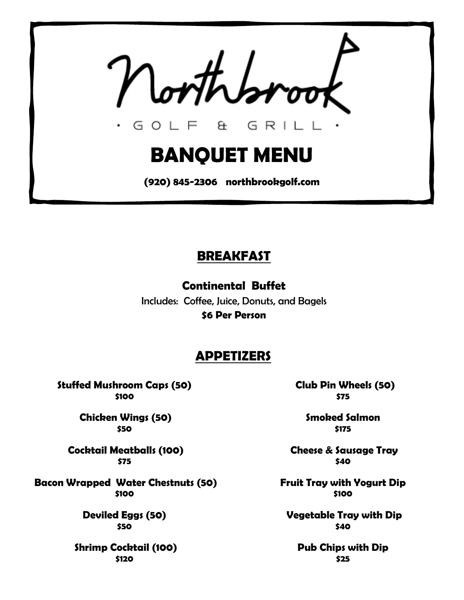GOLF & GRIL

# **BANQUET MENU**

**(920) 845-2306 northbrookgolf.com**

### **BREAKFAST**

**Continental Buffet** Includes: Coffee, Juice, Donuts, and Bagels **\$6 Per Person**

### **APPETIZERS**

**Stuffed Mushroom Caps (50) \$100**

> **Chicken Wings (50) \$50**

**Cocktail Meatballs (100) \$75**

**Bacon Wrapped Water Chestnuts (50) \$100** 

> **Deviled Eggs (50) \$50**

**Shrimp Cocktail (100) \$120** 

 **Club Pin Wheels (50) \$75** 

> **Smoked Salmon \$175**

**Cheese & Sausage Tray \$40**

**Fruit Tray with Yogurt Dip \$100**

**Vegetable Tray with Dip \$40**

**Pub Chips with Dip \$25**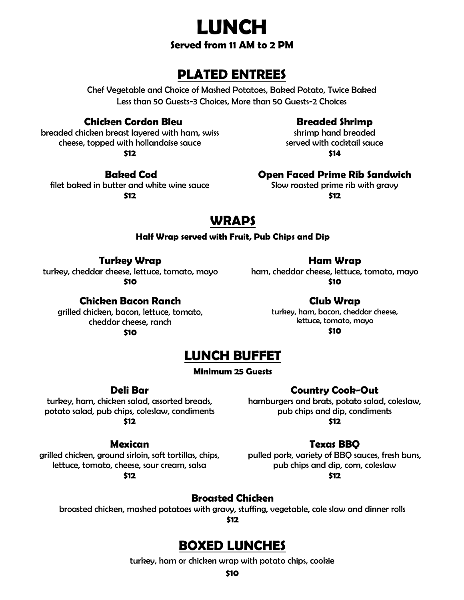

### **PLATED ENTREES**

Chef Vegetable and Choice of Mashed Potatoes, Baked Potato, Twice Baked Less than 50 Guests-3 Choices, More than 50 Guests-2 Choices

#### **Chicken Cordon Bleu**

breaded chicken breast layered with ham, swiss cheese, topped with hollandaise sauce **\$12**

#### **Baked Cod**

filet baked in butter and white wine sauce **\$12**

#### **Breaded Shrimp**

shrimp hand breaded served with cocktail sauce **\$14**

**Open Faced Prime Rib Sandwich**

Slow roasted prime rib with gravy **\$12**

### **WRAPS**

#### **Half Wrap served with Fruit, Pub Chips and Dip**

**Turkey Wrap**

turkey, cheddar cheese, lettuce, tomato, mayo **\$10**

#### **Chicken Bacon Ranch**

grilled chicken, bacon, lettuce, tomato, cheddar cheese, ranch **\$10**

**Club Wrap**

**Ham Wrap** ham, cheddar cheese, lettuce, tomato, mayo **\$10**

> turkey, ham, bacon, cheddar cheese, lettuce, tomato, mayo **\$10**

### **LUNCH BUFFET**

#### **Minimum 25 Guests**

**Deli Bar**

turkey, ham, chicken salad, assorted breads, potato salad, pub chips, coleslaw, condiments **\$12**

#### **Country Cook-Out**

hamburgers and brats, potato salad, coleslaw, pub chips and dip, condiments **\$12**

#### **Mexican**

grilled chicken, ground sirloin, soft tortillas, chips, lettuce, tomato, cheese, sour cream, salsa

**\$12**

#### **Texas BBQ**

pulled pork, variety of BBQ sauces, fresh buns, pub chips and dip, corn, coleslaw **\$12**

**Broasted Chicken** 

broasted chicken, mashed potatoes with gravy, stuffing, vegetable, cole slaw and dinner rolls

**\$12**

### **BOXED LUNCHES**

turkey, ham or chicken wrap with potato chips, cookie

**\$10**